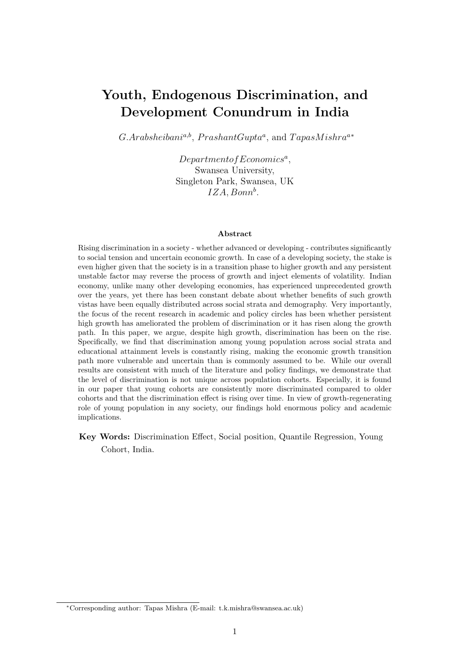# Youth, Endogenous Discrimination, and Development Conundrum in India

 $G.Arabsheiban<sup>a,b</sup>, PrashantGupta<sup>a</sup>, and TapasMishra<sup>a*</sup>$ 

 $Department of Economics<sup>a</sup>,$ Swansea University, Singleton Park, Swansea, UK  $IZA, Bonn^b$ .

#### Abstract

Rising discrimination in a society - whether advanced or developing - contributes significantly to social tension and uncertain economic growth. In case of a developing society, the stake is even higher given that the society is in a transition phase to higher growth and any persistent unstable factor may reverse the process of growth and inject elements of volatility. Indian economy, unlike many other developing economies, has experienced unprecedented growth over the years, yet there has been constant debate about whether benefits of such growth vistas have been equally distributed across social strata and demography. Very importantly, the focus of the recent research in academic and policy circles has been whether persistent high growth has ameliorated the problem of discrimination or it has risen along the growth path. In this paper, we argue, despite high growth, discrimination has been on the rise. Specifically, we find that discrimination among young population across social strata and educational attainment levels is constantly rising, making the economic growth transition path more vulnerable and uncertain than is commonly assumed to be. While our overall results are consistent with much of the literature and policy findings, we demonstrate that the level of discrimination is not unique across population cohorts. Especially, it is found in our paper that young cohorts are consistently more discriminated compared to older cohorts and that the discrimination effect is rising over time. In view of growth-regenerating role of young population in any society, our findings hold enormous policy and academic implications.

Key Words: Discrimination Effect, Social position, Quantile Regression, Young Cohort, India.

<sup>∗</sup>Corresponding author: Tapas Mishra (E-mail: t.k.mishra@swansea.ac.uk)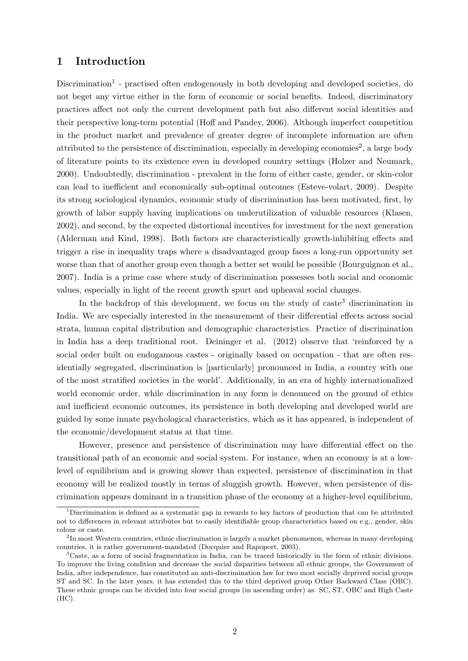## 1 Introduction

Discrimination<sup>1</sup> - practised often endogenously in both developing and developed societies, do not beget any virtue either in the form of economic or social benefits. Indeed, discriminatory practices affect not only the current development path but also different social identities and their perspective long-term potential (Hoff and Pandey, 2006). Although imperfect competition in the product market and prevalence of greater degree of incomplete information are often attributed to the persistence of discrimination, especially in developing economies<sup>2</sup>, a large body of literature points to its existence even in developed country settings (Holzer and Neumark, 2000). Undoubtedly, discrimination - prevalent in the form of either caste, gender, or skin-color can lead to inefficient and economically sub-optimal outcomes (Esteve-volart, 2009). Despite its strong sociological dynamics, economic study of discrimination has been motivated, first, by growth of labor supply having implications on underutilization of valuable resources (Klasen, 2002), and second, by the expected distortional incentives for investment for the next generation (Alderman and Kind, 1998). Both factors are characteristically growth-inhibiting effects and trigger a rise in inequality traps where a disadvantaged group faces a long-run opportunity set worse than that of another group even though a better set would be possible (Bourguignon et al., 2007). India is a prime case where study of discrimination possesses both social and economic values, especially in light of the recent growth spurt and upheaval social changes.

In the backdrop of this development, we focus on the study of caste<sup>3</sup> discrimination in India. We are especially interested in the measurement of their differential effects across social strata, human capital distribution and demographic characteristics. Practice of discrimination in India has a deep traditional root. Deininger et al. (2012) observe that 'reinforced by a social order built on endogamous castes - originally based on occupation - that are often residentially segregated, discrimination is [particularly] pronounced in India, a country with one of the most stratified societies in the world'. Additionally, in an era of highly internationalized world economic order, while discrimination in any form is denounced on the ground of ethics and inefficient economic outcomes, its persistence in both developing and developed world are guided by some innate psychological characteristics, which as it has appeared, is independent of the economic/development status at that time.

However, presence and persistence of discrimination may have differential effect on the transitional path of an economic and social system. For instance, when an economy is at a lowlevel of equilibrium and is growing slower than expected, persistence of discrimination in that economy will be realized mostly in terms of sluggish growth. However, when persistence of discrimination appears dominant in a transition phase of the economy at a higher-level equilibrium,

<sup>1</sup>Discrimination is defined as a systematic gap in rewards to key factors of production that can be attributed not to differences in relevant attributes but to easily identifiable group characteristics based on e.g., gender, skin colour or caste.

<sup>&</sup>lt;sup>2</sup>In most Western countries, ethnic discrimination is largely a market phenomenon, whereas in many developing countries, it is rather government-mandated (Docquier and Rapoport, 2003).

<sup>3</sup>Caste, as a form of social fragmentation in India, can be traced historically in the form of ethnic divisions. To improve the living condition and decrease the social disparities between all ethnic groups, the Government of India, after independence, has constituted an anti-discrimination law for two most socially deprived social groups ST and SC. In the later years, it has extended this to the third deprived group Other Backward Class (OBC). These ethnic groups can be divided into four social groups (in ascending order) as: SC, ST, OBC and High Caste (HC).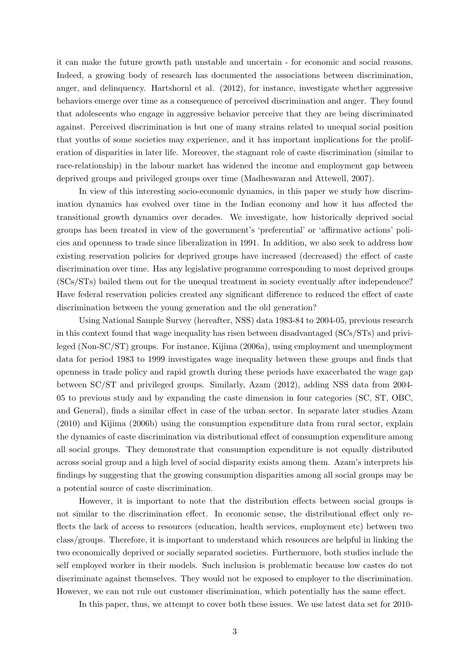it can make the future growth path unstable and uncertain - for economic and social reasons. Indeed, a growing body of research has documented the associations between discrimination, anger, and delinquency. Hartshornl et al. (2012), for instance, investigate whether aggressive behaviors emerge over time as a consequence of perceived discrimination and anger. They found that adolescents who engage in aggressive behavior perceive that they are being discriminated against. Perceived discrimination is but one of many strains related to unequal social position that youths of some societies may experience, and it has important implications for the proliferation of disparities in later life. Moreover, the stagnant role of caste discrimination (similar to race-relationship) in the labour market has widened the income and employment gap between deprived groups and privileged groups over time (Madheswaran and Attewell, 2007).

In view of this interesting socio-economic dynamics, in this paper we study how discrimination dynamics has evolved over time in the Indian economy and how it has affected the transitional growth dynamics over decades. We investigate, how historically deprived social groups has been treated in view of the government's 'preferential' or 'affirmative actions' policies and openness to trade since liberalization in 1991. In addition, we also seek to address how existing reservation policies for deprived groups have increased (decreased) the effect of caste discrimination over time. Has any legislative programme corresponding to most deprived groups (SCs/STs) bailed them out for the unequal treatment in society eventually after independence? Have federal reservation policies created any significant difference to reduced the effect of caste discrimination between the young generation and the old generation?

Using National Sample Survey (hereafter, NSS) data 1983-84 to 2004-05, previous research in this context found that wage inequality has risen between disadvantaged (SCs/STs) and privileged (Non-SC/ST) groups. For instance, Kijima (2006a), using employment and unemployment data for period 1983 to 1999 investigates wage inequality between these groups and finds that openness in trade policy and rapid growth during these periods have exacerbated the wage gap between SC/ST and privileged groups. Similarly, Azam (2012), adding NSS data from 2004- 05 to previous study and by expanding the caste dimension in four categories (SC, ST, OBC, and General), finds a similar effect in case of the urban sector. In separate later studies Azam (2010) and Kijima (2006b) using the consumption expenditure data from rural sector, explain the dynamics of caste discrimination via distributional effect of consumption expenditure among all social groups. They demonstrate that consumption expenditure is not equally distributed across social group and a high level of social disparity exists among them. Azam's interprets his findings by suggesting that the growing consumption disparities among all social groups may be a potential source of caste discrimination.

However, it is important to note that the distribution effects between social groups is not similar to the discrimination effect. In economic sense, the distributional effect only reflects the lack of access to resources (education, health services, employment etc) between two class/groups. Therefore, it is important to understand which resources are helpful in linking the two economically deprived or socially separated societies. Furthermore, both studies include the self employed worker in their models. Such inclusion is problematic because low castes do not discriminate against themselves. They would not be exposed to employer to the discrimination. However, we can not rule out customer discrimination, which potentially has the same effect.

In this paper, thus, we attempt to cover both these issues. We use latest data set for 2010-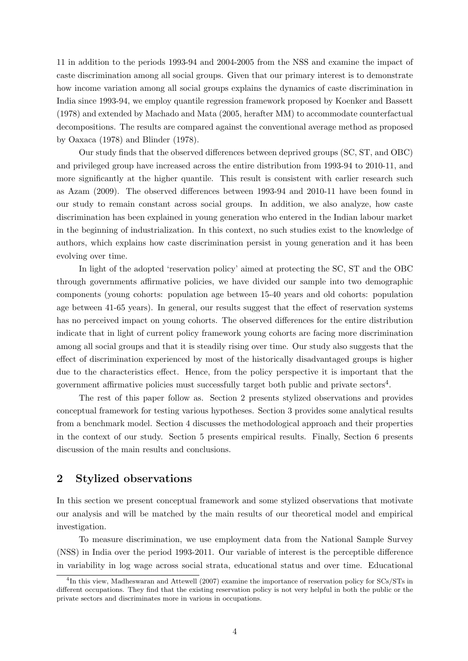11 in addition to the periods 1993-94 and 2004-2005 from the NSS and examine the impact of caste discrimination among all social groups. Given that our primary interest is to demonstrate how income variation among all social groups explains the dynamics of caste discrimination in India since 1993-94, we employ quantile regression framework proposed by Koenker and Bassett (1978) and extended by Machado and Mata (2005, herafter MM) to accommodate counterfactual decompositions. The results are compared against the conventional average method as proposed by Oaxaca (1978) and Blinder (1978).

Our study finds that the observed differences between deprived groups (SC, ST, and OBC) and privileged group have increased across the entire distribution from 1993-94 to 2010-11, and more significantly at the higher quantile. This result is consistent with earlier research such as Azam (2009). The observed differences between 1993-94 and 2010-11 have been found in our study to remain constant across social groups. In addition, we also analyze, how caste discrimination has been explained in young generation who entered in the Indian labour market in the beginning of industrialization. In this context, no such studies exist to the knowledge of authors, which explains how caste discrimination persist in young generation and it has been evolving over time.

In light of the adopted 'reservation policy' aimed at protecting the SC, ST and the OBC through governments affirmative policies, we have divided our sample into two demographic components (young cohorts: population age between 15-40 years and old cohorts: population age between 41-65 years). In general, our results suggest that the effect of reservation systems has no perceived impact on young cohorts. The observed differences for the entire distribution indicate that in light of current policy framework young cohorts are facing more discrimination among all social groups and that it is steadily rising over time. Our study also suggests that the effect of discrimination experienced by most of the historically disadvantaged groups is higher due to the characteristics effect. Hence, from the policy perspective it is important that the government affirmative policies must successfully target both public and private sectors<sup>4</sup>.

The rest of this paper follow as. Section 2 presents stylized observations and provides conceptual framework for testing various hypotheses. Section 3 provides some analytical results from a benchmark model. Section 4 discusses the methodological approach and their properties in the context of our study. Section 5 presents empirical results. Finally, Section 6 presents discussion of the main results and conclusions.

# 2 Stylized observations

In this section we present conceptual framework and some stylized observations that motivate our analysis and will be matched by the main results of our theoretical model and empirical investigation.

To measure discrimination, we use employment data from the National Sample Survey (NSS) in India over the period 1993-2011. Our variable of interest is the perceptible difference in variability in log wage across social strata, educational status and over time. Educational

<sup>&</sup>lt;sup>4</sup>In this view, Madheswaran and Attewell (2007) examine the importance of reservation policy for SCs/STs in different occupations. They find that the existing reservation policy is not very helpful in both the public or the private sectors and discriminates more in various in occupations.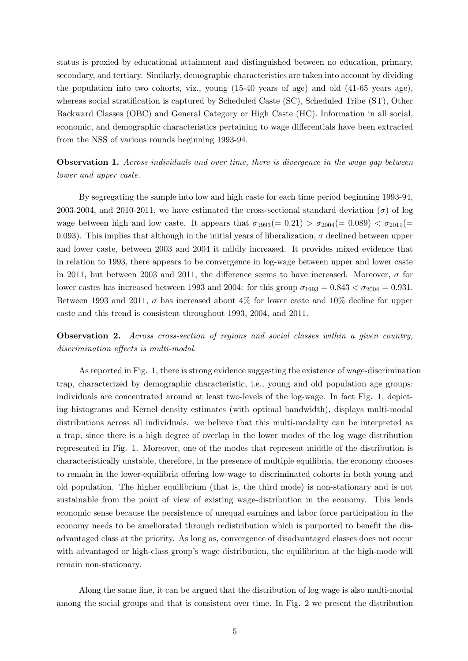status is proxied by educational attainment and distinguished between no education, primary, secondary, and tertiary. Similarly, demographic characteristics are taken into account by dividing the population into two cohorts, viz., young (15-40 years of age) and old (41-65 years age), whereas social stratification is captured by Scheduled Caste (SC), Scheduled Tribe (ST), Other Backward Classes (OBC) and General Category or High Caste (HC). Information in all social, economic, and demographic characteristics pertaining to wage differentials have been extracted from the NSS of various rounds beginning 1993-94.

**Observation 1.** Across individuals and over time, there is divergence in the wage gap between lower and upper caste.

By segregating the sample into low and high caste for each time period beginning 1993-94, 2003-2004, and 2010-2011, we have estimated the cross-sectional standard deviation ( $\sigma$ ) of log wage between high and low caste. It appears that  $\sigma_{1993}(=0.21) > \sigma_{2004}(=0.089) < \sigma_{2011}(=$ 0.093). This implies that although in the initial years of liberalization,  $\sigma$  declined between upper and lower caste, between 2003 and 2004 it mildly increased. It provides mixed evidence that in relation to 1993, there appears to be convergence in log-wage between upper and lower caste in 2011, but between 2003 and 2011, the difference seems to have increased. Moreover,  $\sigma$  for lower castes has increased between 1993 and 2004: for this group  $\sigma_{1993} = 0.843 < \sigma_{2004} = 0.931$ . Between 1993 and 2011,  $\sigma$  has increased about 4% for lower caste and 10% decline for upper caste and this trend is consistent throughout 1993, 2004, and 2011.

Observation 2. Across cross-section of regions and social classes within a given country, discrimination effects is multi-modal.

As reported in Fig. 1, there is strong evidence suggesting the existence of wage-discrimination trap, characterized by demographic characteristic, i.e., young and old population age groups: individuals are concentrated around at least two-levels of the log-wage. In fact Fig. 1, depicting histograms and Kernel density estimates (with optimal bandwidth), displays multi-modal distributions across all individuals. we believe that this multi-modality can be interpreted as a trap, since there is a high degree of overlap in the lower modes of the log wage distribution represented in Fig. 1. Moreover, one of the modes that represent middle of the distribution is characteristically unstable, therefore, in the presence of multiple equilibria, the economy chooses to remain in the lower-equilibria offering low-wage to discriminated cohorts in both young and old population. The higher equilibrium (that is, the third mode) is non-stationary and is not sustainable from the point of view of existing wage-distribution in the economy. This lends economic sense because the persistence of unequal earnings and labor force participation in the economy needs to be ameliorated through redistribution which is purported to benefit the disadvantaged class at the priority. As long as, convergence of disadvantaged classes does not occur with advantaged or high-class group's wage distribution, the equilibrium at the high-mode will remain non-stationary.

Along the same line, it can be argued that the distribution of log wage is also multi-modal among the social groups and that is consistent over time. In Fig. 2 we present the distribution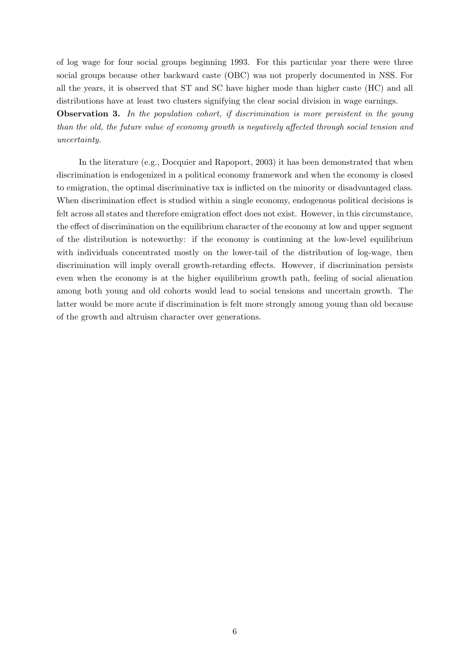of log wage for four social groups beginning 1993. For this particular year there were three social groups because other backward caste (OBC) was not properly documented in NSS. For all the years, it is observed that ST and SC have higher mode than higher caste (HC) and all distributions have at least two clusters signifying the clear social division in wage earnings.

Observation 3. In the population cohort, if discrimination is more persistent in the young than the old, the future value of economy growth is negatively affected through social tension and uncertainty.

In the literature (e.g., Docquier and Rapoport, 2003) it has been demonstrated that when discrimination is endogenized in a political economy framework and when the economy is closed to emigration, the optimal discriminative tax is inflicted on the minority or disadvantaged class. When discrimination effect is studied within a single economy, endogenous political decisions is felt across all states and therefore emigration effect does not exist. However, in this circumstance, the effect of discrimination on the equilibrium character of the economy at low and upper segment of the distribution is noteworthy: if the economy is continuing at the low-level equilibrium with individuals concentrated mostly on the lower-tail of the distribution of log-wage, then discrimination will imply overall growth-retarding effects. However, if discrimination persists even when the economy is at the higher equilibrium growth path, feeling of social alienation among both young and old cohorts would lead to social tensions and uncertain growth. The latter would be more acute if discrimination is felt more strongly among young than old because of the growth and altruism character over generations.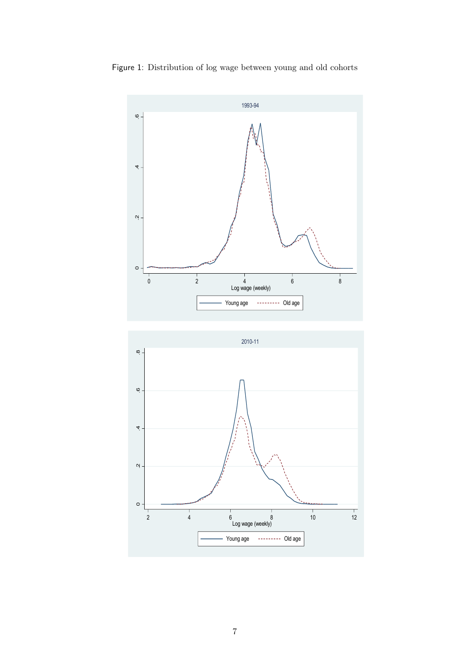

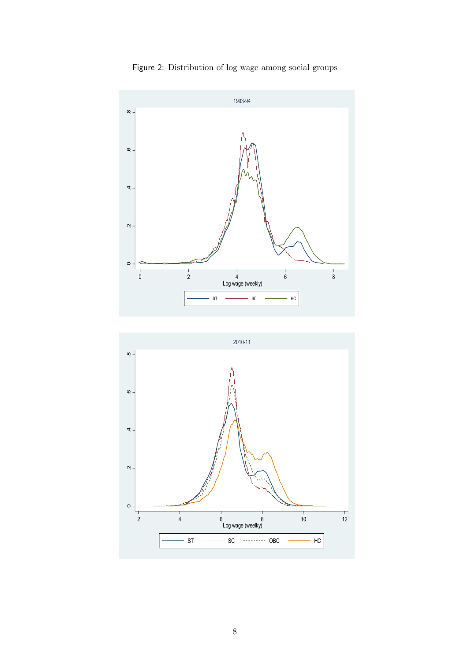

Figure 2: Distribution of log wage among social groups

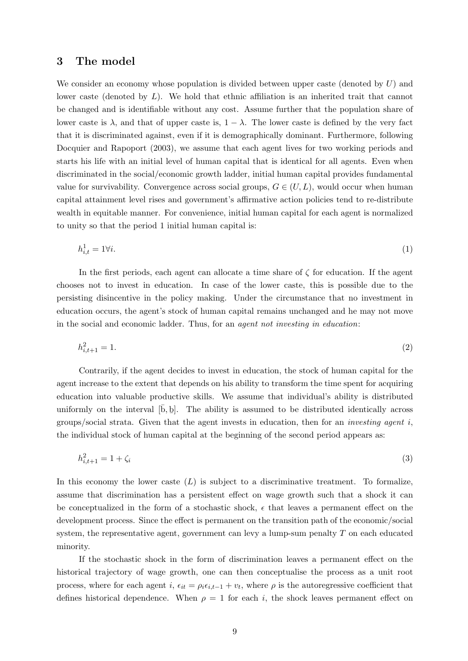### 3 The model

We consider an economy whose population is divided between upper caste (denoted by  $U$ ) and lower caste (denoted by  $L$ ). We hold that ethnic affiliation is an inherited trait that cannot be changed and is identifiable without any cost. Assume further that the population share of lower caste is  $\lambda$ , and that of upper caste is,  $1 - \lambda$ . The lower caste is defined by the very fact that it is discriminated against, even if it is demographically dominant. Furthermore, following Docquier and Rapoport (2003), we assume that each agent lives for two working periods and starts his life with an initial level of human capital that is identical for all agents. Even when discriminated in the social/economic growth ladder, initial human capital provides fundamental value for survivability. Convergence across social groups,  $G \in (U, L)$ , would occur when human capital attainment level rises and government's affirmative action policies tend to re-distribute wealth in equitable manner. For convenience, initial human capital for each agent is normalized to unity so that the period 1 initial human capital is:

$$
h_{i,t}^1 = 1 \forall i. \tag{1}
$$

In the first periods, each agent can allocate a time share of  $\zeta$  for education. If the agent chooses not to invest in education. In case of the lower caste, this is possible due to the persisting disincentive in the policy making. Under the circumstance that no investment in education occurs, the agent's stock of human capital remains unchanged and he may not move in the social and economic ladder. Thus, for an agent not investing in education:

$$
h_{i,t+1}^2 = 1.\t\t(2)
$$

Contrarily, if the agent decides to invest in education, the stock of human capital for the agent increase to the extent that depends on his ability to transform the time spent for acquiring education into valuable productive skills. We assume that individual's ability is distributed uniformly on the interval  $[\bar{b}, \underline{b}]$ . The ability is assumed to be distributed identically across groups/social strata. Given that the agent invests in education, then for an *investing agent i*, the individual stock of human capital at the beginning of the second period appears as:

$$
h_{i,t+1}^2 = 1 + \zeta_i \tag{3}
$$

In this economy the lower caste  $(L)$  is subject to a discriminative treatment. To formalize, assume that discrimination has a persistent effect on wage growth such that a shock it can be conceptualized in the form of a stochastic shock,  $\epsilon$  that leaves a permanent effect on the development process. Since the effect is permanent on the transition path of the economic/social system, the representative agent, government can levy a lump-sum penalty  $T$  on each educated minority.

If the stochastic shock in the form of discrimination leaves a permanent effect on the historical trajectory of wage growth, one can then conceptualise the process as a unit root process, where for each agent i,  $\epsilon_{it} = \rho_i \epsilon_{i,t-1} + v_t$ , where  $\rho$  is the autoregressive coefficient that defines historical dependence. When  $\rho = 1$  for each i, the shock leaves permanent effect on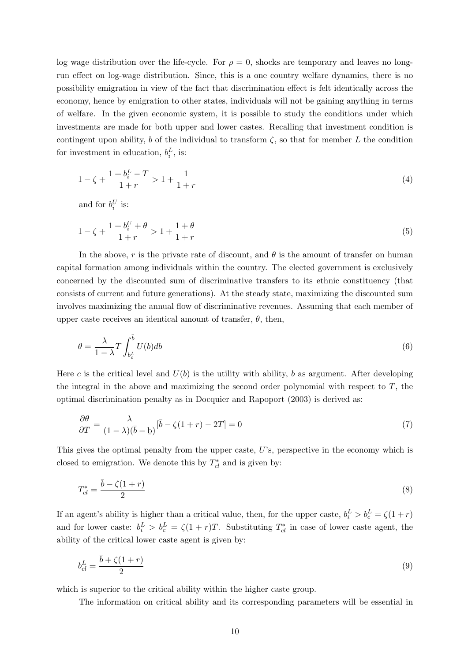log wage distribution over the life-cycle. For  $\rho = 0$ , shocks are temporary and leaves no longrun effect on log-wage distribution. Since, this is a one country welfare dynamics, there is no possibility emigration in view of the fact that discrimination effect is felt identically across the economy, hence by emigration to other states, individuals will not be gaining anything in terms of welfare. In the given economic system, it is possible to study the conditions under which investments are made for both upper and lower castes. Recalling that investment condition is contingent upon ability, b of the individual to transform  $\zeta$ , so that for member L the condition for investment in education,  $b_i^L$ , is:

$$
1 - \zeta + \frac{1 + b_i^L - T}{1 + r} > 1 + \frac{1}{1 + r} \tag{4}
$$

and for  $b_i^U$  is:

$$
1 - \zeta + \frac{1 + b_i^U + \theta}{1 + r} > 1 + \frac{1 + \theta}{1 + r}
$$
\n<sup>(5)</sup>

In the above, r is the private rate of discount, and  $\theta$  is the amount of transfer on human capital formation among individuals within the country. The elected government is exclusively concerned by the discounted sum of discriminative transfers to its ethnic constituency (that consists of current and future generations). At the steady state, maximizing the discounted sum involves maximizing the annual flow of discriminative revenues. Assuming that each member of upper caste receives an identical amount of transfer,  $\theta$ , then,

$$
\theta = \frac{\lambda}{1 - \lambda} T \int_{b_c^L}^{\bar{b}} U(b) db \tag{6}
$$

Here c is the critical level and  $U(b)$  is the utility with ability, b as argument. After developing the integral in the above and maximizing the second order polynomial with respect to  $T$ , the optimal discrimination penalty as in Docquier and Rapoport (2003) is derived as:

$$
\frac{\partial \theta}{\partial T} = \frac{\lambda}{(1 - \lambda)(\bar{b} - \underline{b})} [\bar{b} - \zeta(1 + r) - 2T] = 0 \tag{7}
$$

This gives the optimal penalty from the upper caste, U's, perspective in the economy which is closed to emigration. We denote this by  $T^*_{cl}$  and is given by:

$$
T_{cl}^* = \frac{\bar{b} - \zeta(1+r)}{2} \tag{8}
$$

If an agent's ability is higher than a critical value, then, for the upper caste,  $b_i^L > b_c^L = \zeta(1+r)$ and for lower caste:  $b_i^L > b_c^L = \zeta(1+r)T$ . Substituting  $T_{cl}^*$  in case of lower caste agent, the ability of the critical lower caste agent is given by:

$$
b_{cl}^L = \frac{\bar{b} + \zeta(1+r)}{2} \tag{9}
$$

which is superior to the critical ability within the higher caste group.

The information on critical ability and its corresponding parameters will be essential in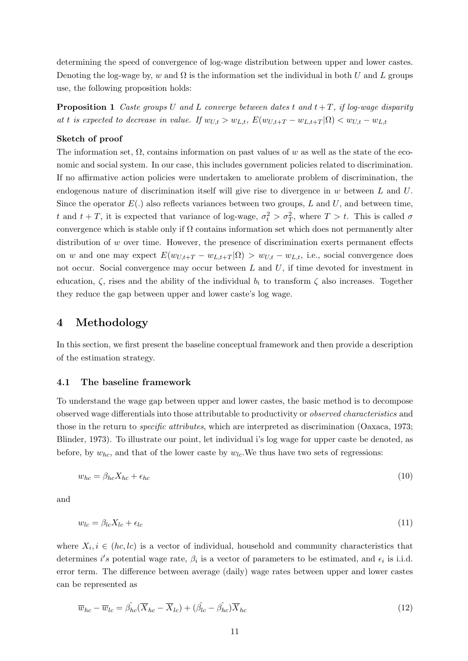determining the speed of convergence of log-wage distribution between upper and lower castes. Denoting the log-wage by, w and  $\Omega$  is the information set the individual in both U and L groups use, the following proposition holds:

**Proposition 1** Caste groups U and L converge between dates t and  $t + T$ , if log-wage disparity at t is expected to decrease in value. If  $w_{U,t} > w_{L,t}$ ,  $E(w_{U,t+T} - w_{L,t+T} | \Omega) < w_{U,t} - w_{L,t}$ 

#### Sketch of proof

The information set,  $\Omega$ , contains information on past values of w as well as the state of the economic and social system. In our case, this includes government policies related to discrimination. If no affirmative action policies were undertaken to ameliorate problem of discrimination, the endogenous nature of discrimination itself will give rise to divergence in  $w$  between  $L$  and  $U$ . Since the operator  $E(.)$  also reflects variances between two groups, L and U, and between time, t and  $t + T$ , it is expected that variance of log-wage,  $\sigma_t^2 > \sigma_T^2$ , where  $T > t$ . This is called  $\sigma$ convergence which is stable only if  $\Omega$  contains information set which does not permanently alter distribution of  $w$  over time. However, the presence of discrimination exerts permanent effects on w and one may expect  $E(w_{U,t+T} - w_{L,t+T} | \Omega) > w_{U,t} - w_{L,t}$ , i.e., social convergence does not occur. Social convergence may occur between  $L$  and  $U$ , if time devoted for investment in education,  $\zeta$ , rises and the ability of the individual  $b_i$  to transform  $\zeta$  also increases. Together they reduce the gap between upper and lower caste's log wage.

## 4 Methodology

In this section, we first present the baseline conceptual framework and then provide a description of the estimation strategy.

#### 4.1 The baseline framework

To understand the wage gap between upper and lower castes, the basic method is to decompose observed wage differentials into those attributable to productivity or observed characteristics and those in the return to specific attributes, which are interpreted as discrimination (Oaxaca, 1973; Blinder, 1973). To illustrate our point, let individual i's log wage for upper caste be denoted, as before, by  $w_{hc}$ , and that of the lower caste by  $w_{lc}$ . We thus have two sets of regressions:

$$
w_{hc} = \beta_{hc} X_{hc} + \epsilon_{hc} \tag{10}
$$

and

$$
w_{lc} = \beta_{lc} X_{lc} + \epsilon_{lc} \tag{11}
$$

where  $X_i, i \in (hc, lc)$  is a vector of individual, household and community characteristics that determines i's potential wage rate,  $\beta_i$  is a vector of parameters to be estimated, and  $\epsilon_i$  is i.i.d. error term. The difference between average (daily) wage rates between upper and lower castes can be represented as

$$
\overline{w}_{hc} - \overline{w}_{lc} = \hat{\beta_{hc}}(\overline{X}_{hc} - \overline{X}_{lc}) + (\hat{\beta_{lc}} - \hat{\beta_{hc}})\overline{X}_{hc}
$$
\n(12)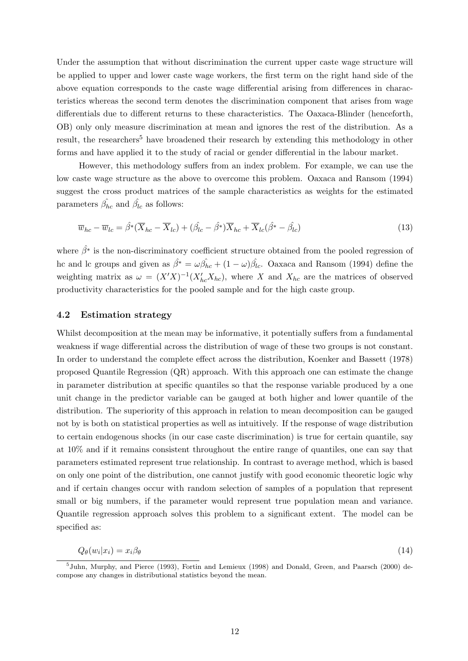Under the assumption that without discrimination the current upper caste wage structure will be applied to upper and lower caste wage workers, the first term on the right hand side of the above equation corresponds to the caste wage differential arising from differences in characteristics whereas the second term denotes the discrimination component that arises from wage differentials due to different returns to these characteristics. The Oaxaca-Blinder (henceforth, OB) only only measure discrimination at mean and ignores the rest of the distribution. As a result, the researchers<sup>5</sup> have broadened their research by extending this methodology in other forms and have applied it to the study of racial or gender differential in the labour market.

However, this methodology suffers from an index problem. For example, we can use the low caste wage structure as the above to overcome this problem. Oaxaca and Ransom (1994) suggest the cross product matrices of the sample characteristics as weights for the estimated parameters  $\hat{\beta}_{hc}$  and  $\hat{\beta}_{lc}$  as follows:

$$
\overline{w}_{hc} - \overline{w}_{lc} = \hat{\beta}^*(\overline{X}_{hc} - \overline{X}_{lc}) + (\hat{\beta}_{lc} - \hat{\beta}^*)\overline{X}_{hc} + \overline{X}_{lc}(\hat{\beta}^* - \hat{\beta}_{lc})
$$
\n(13)

where  $\hat{\beta}^*$  is the non-discriminatory coefficient structure obtained from the pooled regression of hc and lc groups and given as  $\hat{\beta^*} = \omega \hat{\beta_{hc}} + (1 - \omega) \hat{\beta_{lc}}$ . Oaxaca and Ransom (1994) define the weighting matrix as  $\omega = (X'X)^{-1}(X'_{hc}X_{hc})$ , where X and  $X_{hc}$  are the matrices of observed productivity characteristics for the pooled sample and for the high caste group.

### 4.2 Estimation strategy

Whilst decomposition at the mean may be informative, it potentially suffers from a fundamental weakness if wage differential across the distribution of wage of these two groups is not constant. In order to understand the complete effect across the distribution, Koenker and Bassett (1978) proposed Quantile Regression (QR) approach. With this approach one can estimate the change in parameter distribution at specific quantiles so that the response variable produced by a one unit change in the predictor variable can be gauged at both higher and lower quantile of the distribution. The superiority of this approach in relation to mean decomposition can be gauged not by is both on statistical properties as well as intuitively. If the response of wage distribution to certain endogenous shocks (in our case caste discrimination) is true for certain quantile, say at 10% and if it remains consistent throughout the entire range of quantiles, one can say that parameters estimated represent true relationship. In contrast to average method, which is based on only one point of the distribution, one cannot justify with good economic theoretic logic why and if certain changes occur with random selection of samples of a population that represent small or big numbers, if the parameter would represent true population mean and variance. Quantile regression approach solves this problem to a significant extent. The model can be specified as:

$$
Q_{\theta}(w_i|x_i) = x_i \beta_{\theta} \tag{14}
$$

<sup>&</sup>lt;sup>5</sup>Juhn, Murphy, and Pierce (1993), Fortin and Lemieux (1998) and Donald, Green, and Paarsch (2000) decompose any changes in distributional statistics beyond the mean.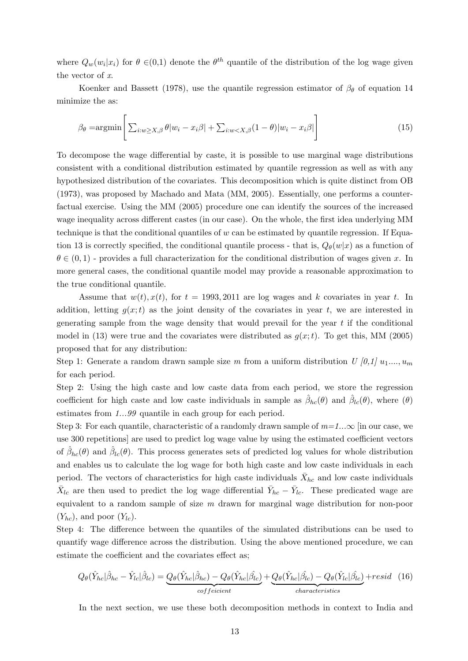where  $Q_w(w_i|x_i)$  for  $\theta \in (0,1)$  denote the  $\theta^{th}$  quantile of the distribution of the log wage given the vector of x.

Koenker and Bassett (1978), use the quantile regression estimator of  $\beta_{\theta}$  of equation 14 minimize the as:

$$
\beta_{\theta} = \operatorname{argmin} \left[ \sum_{i:w \ge X, \beta} \theta |w_i - x_i \beta| + \sum_{i:w < X, \beta} (1 - \theta) |w_i - x_i \beta| \right] \tag{15}
$$

To decompose the wage differential by caste, it is possible to use marginal wage distributions consistent with a conditional distribution estimated by quantile regression as well as with any hypothesized distribution of the covariates. This decomposition which is quite distinct from OB (1973), was proposed by Machado and Mata (MM, 2005). Essentially, one performs a counterfactual exercise. Using the MM (2005) procedure one can identify the sources of the increased wage inequality across different castes (in our case). On the whole, the first idea underlying MM technique is that the conditional quantiles of  $w$  can be estimated by quantile regression. If Equation 13 is correctly specified, the conditional quantile process - that is,  $Q_{\theta}(w|x)$  as a function of  $\theta \in (0,1)$  - provides a full characterization for the conditional distribution of wages given x. In more general cases, the conditional quantile model may provide a reasonable approximation to the true conditional quantile.

Assume that  $w(t)$ ,  $x(t)$ , for  $t = 1993, 2011$  are log wages and k covariates in year t. In addition, letting  $q(x;t)$  as the joint density of the covariates in year t, we are interested in generating sample from the wage density that would prevail for the year  $t$  if the conditional model in (13) were true and the covariates were distributed as  $q(x;t)$ . To get this, MM (2005) proposed that for any distribution:

Step 1: Generate a random drawn sample size m from a uniform distribution  $U(0,1)$   $u_1,...,u_m$ for each period.

Step 2: Using the high caste and low caste data from each period, we store the regression coefficient for high caste and low caste individuals in sample as  $\hat{\beta}_{hc}(\theta)$  and  $\hat{\beta}_{lc}(\theta)$ , where  $(\theta)$ estimates from 1...99 quantile in each group for each period.

Step 3: For each quantile, characteristic of a randomly drawn sample of  $m=1...\infty$  [in our case, we use 300 repetitions] are used to predict log wage value by using the estimated coefficient vectors of  $\hat{\beta}_{hc}(\theta)$  and  $\hat{\beta}_{lc}(\theta)$ . This process generates sets of predicted log values for whole distribution and enables us to calculate the log wage for both high caste and low caste individuals in each period. The vectors of characteristics for high caste individuals  $\bar{X}_{hc}$  and low caste individuals  $\bar{X}_{lc}$  are then used to predict the log wage differential  $\bar{Y}_{hc} - \bar{Y}_{lc}$ . These predicated wage are equivalent to a random sample of size m drawn for marginal wage distribution for non-poor  $(Y_{hc})$ , and poor  $(Y_{lc})$ .

Step 4: The difference between the quantiles of the simulated distributions can be used to quantify wage difference across the distribution. Using the above mentioned procedure, we can estimate the coefficient and the covariates effect as;

$$
Q_{\theta}(\hat{Y}_{hc}|\hat{\beta}_{hc} - \hat{Y}_{lc}|\hat{\beta}_{lc}) = Q_{\theta}(\hat{Y}_{hc}|\hat{\beta}_{hc}) - Q_{\theta}(\hat{Y}_{hc}|\hat{\beta}_{lc}) + Q_{\theta}(\hat{Y}_{hc}|\hat{\beta}_{lc}) - Q_{\theta}(\hat{Y}_{lc}|\hat{\beta}_{lc}) + resist\tag{16}
$$

In the next section, we use these both decomposition methods in context to India and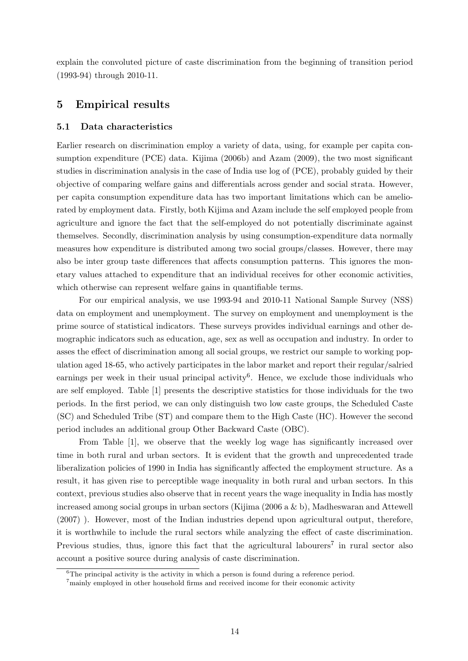explain the convoluted picture of caste discrimination from the beginning of transition period (1993-94) through 2010-11.

# 5 Empirical results

### 5.1 Data characteristics

Earlier research on discrimination employ a variety of data, using, for example per capita consumption expenditure (PCE) data. Kijima (2006b) and Azam (2009), the two most significant studies in discrimination analysis in the case of India use log of (PCE), probably guided by their objective of comparing welfare gains and differentials across gender and social strata. However, per capita consumption expenditure data has two important limitations which can be ameliorated by employment data. Firstly, both Kijima and Azam include the self employed people from agriculture and ignore the fact that the self-employed do not potentially discriminate against themselves. Secondly, discrimination analysis by using consumption-expenditure data normally measures how expenditure is distributed among two social groups/classes. However, there may also be inter group taste differences that affects consumption patterns. This ignores the monetary values attached to expenditure that an individual receives for other economic activities, which otherwise can represent welfare gains in quantifiable terms.

For our empirical analysis, we use 1993-94 and 2010-11 National Sample Survey (NSS) data on employment and unemployment. The survey on employment and unemployment is the prime source of statistical indicators. These surveys provides individual earnings and other demographic indicators such as education, age, sex as well as occupation and industry. In order to asses the effect of discrimination among all social groups, we restrict our sample to working population aged 18-65, who actively participates in the labor market and report their regular/salried earnings per week in their usual principal activity<sup>6</sup>. Hence, we exclude those individuals who are self employed. Table [1] presents the descriptive statistics for those individuals for the two periods. In the first period, we can only distinguish two low caste groups, the Scheduled Caste (SC) and Scheduled Tribe (ST) and compare them to the High Caste (HC). However the second period includes an additional group Other Backward Caste (OBC).

From Table [1], we observe that the weekly log wage has significantly increased over time in both rural and urban sectors. It is evident that the growth and unprecedented trade liberalization policies of 1990 in India has significantly affected the employment structure. As a result, it has given rise to perceptible wage inequality in both rural and urban sectors. In this context, previous studies also observe that in recent years the wage inequality in India has mostly increased among social groups in urban sectors (Kijima (2006 a & b), Madheswaran and Attewell (2007) ). However, most of the Indian industries depend upon agricultural output, therefore, it is worthwhile to include the rural sectors while analyzing the effect of caste discrimination. Previous studies, thus, ignore this fact that the agricultural labourers<sup>7</sup> in rural sector also account a positive source during analysis of caste discrimination.

 ${}^{6}$ The principal activity is the activity in which a person is found during a reference period.

<sup>7</sup>mainly employed in other household firms and received income for their economic activity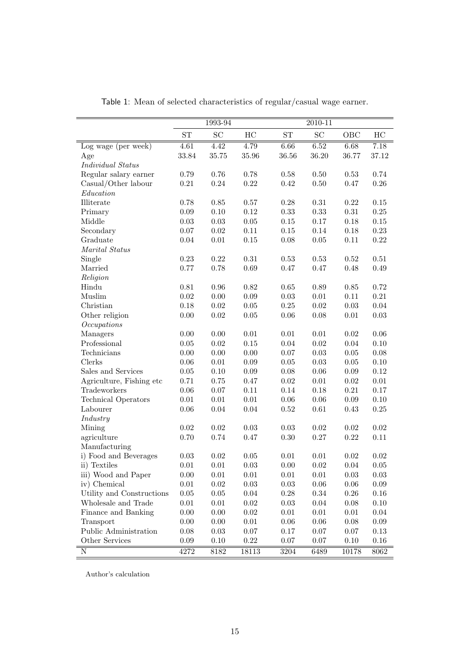|                            |                   | 1993-94             |            |            | $2010 - 11$         |            |            |
|----------------------------|-------------------|---------------------|------------|------------|---------------------|------------|------------|
|                            | ST                | $\operatorname{SC}$ | HC         | ST         | $\operatorname{SC}$ | OBC        | HC         |
| Log wage (per week)        | $\overline{4.61}$ | 4.42                | 4.79       | 6.66       | 6.52                | 6.68       | 7.18       |
| Age                        | 33.84             | 35.75               | 35.96      | 36.56      | 36.20               | 36.77      | 37.12      |
| <b>Individual Status</b>   |                   |                     |            |            |                     |            |            |
| Regular salary earner      | 0.79              | 0.76                | 0.78       | 0.58       | $0.50\,$            | 0.53       | 0.74       |
| Casual/Other labour        | $\rm 0.21$        | 0.24                | 0.22       | $0.42\,$   | 0.50                | 0.47       | $0.26\,$   |
| Education                  |                   |                     |            |            |                     |            |            |
| Illiterate                 | 0.78              | 0.85                | $0.57\,$   | $0.28\,$   | $\rm 0.31$          | $\rm 0.22$ | 0.15       |
| Primary                    | $0.09\,$          | 0.10                | $0.12\,$   | 0.33       | 0.33                | $\rm 0.31$ | $0.25\,$   |
| Middle                     | $\rm 0.03$        | 0.03                | $0.05\,$   | $0.15\,$   | 0.17                | 0.18       | $0.15\,$   |
| Secondary                  | $0.07\,$          | $0.02\,$            | $0.11\,$   | $0.15\,$   | 0.14                | 0.18       | 0.23       |
| Graduate                   | $0.04\,$          | 0.01                | $0.15\,$   | $0.08\,$   | 0.05                | $0.11\,$   | $0.22\,$   |
| Marital Status             |                   |                     |            |            |                     |            |            |
| Single                     | 0.23              | 0.22                | $\rm 0.31$ | 0.53       | $0.53\,$            | $\rm 0.52$ | 0.51       |
| Married                    | 0.77              | 0.78                | 0.69       | $0.47\,$   | 0.47                | 0.48       | 0.49       |
| Religion                   |                   |                     |            |            |                     |            |            |
| Hindu                      | $0.81\,$          | $0.96\,$            | $0.82\,$   | $0.65\,$   | 0.89                | $0.85\,$   | 0.72       |
| Muslim                     | $\rm 0.02$        | 0.00                | $0.09\,$   | $0.03\,$   | $0.01\,$            | 0.11       | $\rm 0.21$ |
| Christian                  | $0.18\,$          | $0.02\,$            | $0.05\,$   | $0.25\,$   | $0.02\,$            | 0.03       | 0.04       |
| Other religion             | $0.00\,$          | 0.02                | $0.05\,$   | $0.06\,$   | 0.08                | $0.01\,$   | $0.03\,$   |
| Occupations                |                   |                     |            |            |                     |            |            |
| Managers                   | $0.00\,$          | 0.00                | $0.01\,$   | $0.01\,$   | $0.01\,$            | $0.02\,$   | 0.06       |
| Professional               | $0.05\,$          | $0.02\,$            | $0.15\,$   | $0.04\,$   | $0.02\,$            | 0.04       | 0.10       |
| Technicians                | $0.00\,$          | 0.00                | $0.00\,$   | $0.07\,$   | 0.03                | 0.05       | 0.08       |
| Clerks                     | $0.06\,$          | 0.01                | 0.09       | $0.05\,$   | 0.03                | 0.05       | 0.10       |
| Sales and Services         | $0.05\,$          | 0.10                | 0.09       | $0.08\,$   | 0.06                | 0.09       | $0.12\,$   |
| Agriculture, Fishing etc   | 0.71              | 0.75                | 0.47       | $\rm 0.02$ | 0.01                | $0.02\,$   | $0.01\,$   |
| Tradeworkers               | $0.06\,$          | 0.07                | 0.11       | 0.14       | 0.18                | $\rm 0.21$ | 0.17       |
| <b>Technical Operators</b> | $0.01\,$          | 0.01                | $0.01\,$   | $0.06\,$   | 0.06                | 0.09       | 0.10       |
| Labourer                   | $0.06\,$          | 0.04                | $0.04\,$   | $0.52\,$   | 0.61                | 0.43       | $0.25\,$   |
| Industry                   |                   |                     |            |            |                     |            |            |
| Mining                     | $\rm 0.02$        | $0.02\,$            | $\rm 0.03$ | $0.03\,$   | 0.02                | $\rm 0.02$ | $\rm 0.02$ |
| agriculture                | 0.70              | 0.74                | 0.47       | $0.30\,$   | 0.27                | $\rm 0.22$ | 0.11       |
| Manufacturing              |                   |                     |            |            |                     |            |            |
| i) Food and Beverages      | 0.03              | $\rm 0.02$          | 0.05       | $0.01\,$   | 0.01                | $\rm 0.02$ | $\rm 0.02$ |
| ii) Textiles               | 0.01              | 0.01                | 0.03       | 0.00       | 0.02                | 0.04       | 0.05       |
| iii) Wood and Paper        | 0.00              | 0.01                | 0.01       | 0.01       | 0.01                | $0.03\,$   | 0.03       |
| iv) Chemical               | 0.01              | 0.02                | 0.03       | $0.03\,$   | 0.06                | 0.06       | 0.09       |
| Utility and Constructions  | $0.05\,$          | 0.05                | 0.04       | $0.28\,$   | $0.34\,$            | 0.26       | 0.16       |
| Wholesale and Trade        | 0.01              | 0.01                | 0.02       | $0.03\,$   | $0.04\,$            | $0.08\,$   | 0.10       |
| Finance and Banking        | 0.00              | 0.00                | 0.02       | $0.01\,$   | $0.01\,$            | 0.01       | 0.04       |
| Transport                  | 0.00              | 0.00                | 0.01       | 0.06       | 0.06                | 0.08       | 0.09       |
| Public Administration      | $0.08\,$          | $0.03\,$            | $0.07\,$   | 0.17       | 0.07                | $0.07\,$   | 0.13       |
| Other Services             | 0.09              | 0.10                | 0.22       | $0.07\,$   | 0.07                | 0.10       | 0.16       |
| $\overline{\text{N}}$      | 4272              | 8182                | 18113      | 3204       | 6489                | 10178      | 8062       |

Table 1: Mean of selected characteristics of regular/casual wage earner.

Author's calculation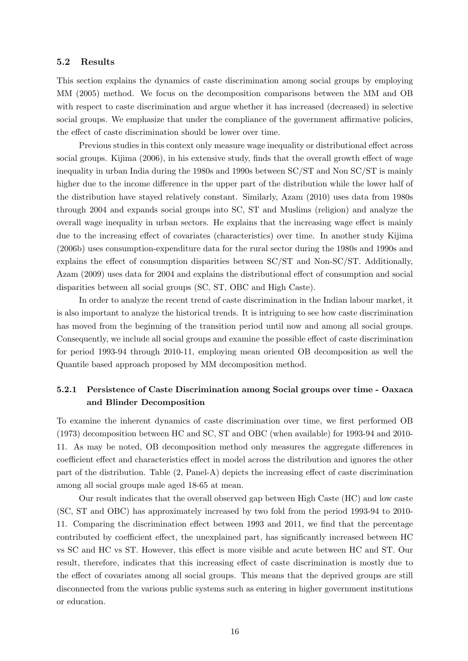#### 5.2 Results

This section explains the dynamics of caste discrimination among social groups by employing MM (2005) method. We focus on the decomposition comparisons between the MM and OB with respect to caste discrimination and argue whether it has increased (decreased) in selective social groups. We emphasize that under the compliance of the government affirmative policies, the effect of caste discrimination should be lower over time.

Previous studies in this context only measure wage inequality or distributional effect across social groups. Kijima (2006), in his extensive study, finds that the overall growth effect of wage inequality in urban India during the 1980s and 1990s between SC/ST and Non SC/ST is mainly higher due to the income difference in the upper part of the distribution while the lower half of the distribution have stayed relatively constant. Similarly, Azam (2010) uses data from 1980s through 2004 and expands social groups into SC, ST and Muslims (religion) and analyze the overall wage inequality in urban sectors. He explains that the increasing wage effect is mainly due to the increasing effect of covariates (characteristics) over time. In another study Kijima (2006b) uses consumption-expenditure data for the rural sector during the 1980s and 1990s and explains the effect of consumption disparities between SC/ST and Non-SC/ST. Additionally, Azam (2009) uses data for 2004 and explains the distributional effect of consumption and social disparities between all social groups (SC, ST, OBC and High Caste).

In order to analyze the recent trend of caste discrimination in the Indian labour market, it is also important to analyze the historical trends. It is intriguing to see how caste discrimination has moved from the beginning of the transition period until now and among all social groups. Consequently, we include all social groups and examine the possible effect of caste discrimination for period 1993-94 through 2010-11, employing mean oriented OB decomposition as well the Quantile based approach proposed by MM decomposition method.

# 5.2.1 Persistence of Caste Discrimination among Social groups over time - Oaxaca and Blinder Decomposition

To examine the inherent dynamics of caste discrimination over time, we first performed OB (1973) decomposition between HC and SC, ST and OBC (when available) for 1993-94 and 2010- 11. As may be noted, OB decomposition method only measures the aggregate differences in coefficient effect and characteristics effect in model across the distribution and ignores the other part of the distribution. Table (2, Panel-A) depicts the increasing effect of caste discrimination among all social groups male aged 18-65 at mean.

Our result indicates that the overall observed gap between High Caste (HC) and low caste (SC, ST and OBC) has approximately increased by two fold from the period 1993-94 to 2010- 11. Comparing the discrimination effect between 1993 and 2011, we find that the percentage contributed by coefficient effect, the unexplained part, has significantly increased between HC vs SC and HC vs ST. However, this effect is more visible and acute between HC and ST. Our result, therefore, indicates that this increasing effect of caste discrimination is mostly due to the effect of covariates among all social groups. This means that the deprived groups are still disconnected from the various public systems such as entering in higher government institutions or education.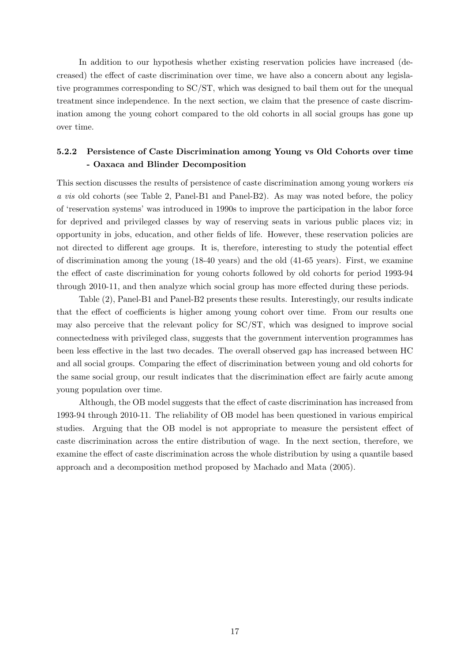In addition to our hypothesis whether existing reservation policies have increased (decreased) the effect of caste discrimination over time, we have also a concern about any legislative programmes corresponding to SC/ST, which was designed to bail them out for the unequal treatment since independence. In the next section, we claim that the presence of caste discrimination among the young cohort compared to the old cohorts in all social groups has gone up over time.

## 5.2.2 Persistence of Caste Discrimination among Young vs Old Cohorts over time - Oaxaca and Blinder Decomposition

This section discusses the results of persistence of caste discrimination among young workers vis a vis old cohorts (see Table 2, Panel-B1 and Panel-B2). As may was noted before, the policy of 'reservation systems' was introduced in 1990s to improve the participation in the labor force for deprived and privileged classes by way of reserving seats in various public places viz; in opportunity in jobs, education, and other fields of life. However, these reservation policies are not directed to different age groups. It is, therefore, interesting to study the potential effect of discrimination among the young (18-40 years) and the old (41-65 years). First, we examine the effect of caste discrimination for young cohorts followed by old cohorts for period 1993-94 through 2010-11, and then analyze which social group has more effected during these periods.

Table (2), Panel-B1 and Panel-B2 presents these results. Interestingly, our results indicate that the effect of coefficients is higher among young cohort over time. From our results one may also perceive that the relevant policy for SC/ST, which was designed to improve social connectedness with privileged class, suggests that the government intervention programmes has been less effective in the last two decades. The overall observed gap has increased between HC and all social groups. Comparing the effect of discrimination between young and old cohorts for the same social group, our result indicates that the discrimination effect are fairly acute among young population over time.

Although, the OB model suggests that the effect of caste discrimination has increased from 1993-94 through 2010-11. The reliability of OB model has been questioned in various empirical studies. Arguing that the OB model is not appropriate to measure the persistent effect of caste discrimination across the entire distribution of wage. In the next section, therefore, we examine the effect of caste discrimination across the whole distribution by using a quantile based approach and a decomposition method proposed by Machado and Mata (2005).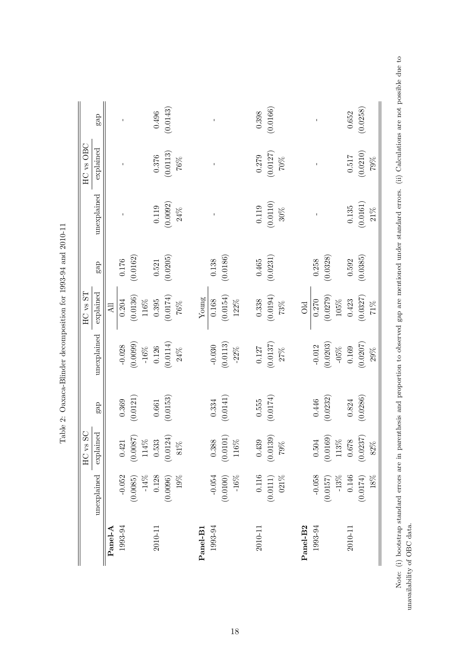|                      |             | SC<br>HC vs |           |                                                 | $HC$ vs $ST$             |           |                    | HC vs OBC         |              |
|----------------------|-------------|-------------|-----------|-------------------------------------------------|--------------------------|-----------|--------------------|-------------------|--------------|
|                      | unexplained | explained   | gap       | unexplained                                     | explained                | $ga$ p    | unexplained        | explained         | gap          |
| Panel-A              |             |             |           |                                                 | $\overline{\mathrm{Al}}$ |           |                    |                   |              |
| 1993-94              | $-0.052$    | 0.421       | 0.369     | $-0.028$                                        | $0.204\,$                | $0.176\,$ |                    |                   | $\mathbf{I}$ |
|                      | (0.0085)    | (0.0087)    | (0.0121)  | (0.0099)                                        |                          | (0.0162)  |                    |                   |              |
|                      | $-14\%$     | 114%        |           | $-16\%$                                         | $(0.0136)$ $116\%$       |           |                    |                   |              |
| 2010-11              | 0.128       | 0.533       | 0.661     | 0.126                                           | 0.395                    | 0.521     | 0.119              | 0.376             | 0.496        |
|                      | (0.0096)    | (0.0124)    | (0.0153)  |                                                 | $(0.0174)$ $76\%$        | (0.0205)  |                    | (0.0113)          | (0.0143)     |
|                      | $19\%$      | $81\%$      |           | $\begin{array}{c} (0.0114) \\ 24\% \end{array}$ |                          |           | $(0.0092)$ $24\%$  | $76\%$            |              |
| Panel-B1             |             |             |           |                                                 | Young                    |           |                    |                   |              |
| 1993-94              | $-0.054$    | 0.388       | 0.334     | $-0.030$                                        | 0.168                    | 0.138     |                    |                   |              |
|                      | (0.0100)    | (0.0101)    | (0.0141)  | (0.0113)                                        | (0.0154)                 | (0.0186)  |                    |                   |              |
|                      | $-16\%$     | 116%        |           | $-22%$                                          | $122\%$                  |           |                    |                   |              |
| 2010-11              | $0.116\,$   | 0.439       | 0.555     | $0.127\,$                                       | 0.338                    | 0.465     | 0.119              | 0.279             | 0.398        |
|                      | (0.0111)    | (0.0139)    | (0.0174)  | $(0.0137)$ $27\%$                               | (0.0194)                 | (0.0231)  | $(0.0110) \\ 30\%$ | $(0.0127)$ $70\%$ | (0.0166)     |
|                      | $021\%$     | $79\%$      |           |                                                 | $73\%$                   |           |                    |                   |              |
| Panel-B <sub>2</sub> |             |             |           |                                                 | Old                      |           |                    |                   |              |
| 1993-94              | $-0.058$    | $0.504\,$   | $0.446\,$ | $-0.012$                                        | $0.270\,$                | 0.258     |                    |                   | $\mathbf{I}$ |
|                      | (0.0157)    | (0.0169)    | (0.0232)  | (0.0203)                                        |                          | (0.0328)  |                    |                   |              |
|                      | $-13%$      | 113%        |           | $-05\%$                                         | $(0.0279)$<br>105%       |           |                    |                   |              |
| 2010-11              | $0.146\,$   | 0.678       | 0.824     | 0.169                                           | 0.423                    | 0.592     | $\,0.135\,$        | $0.517\,$         | 0.652        |
|                      | (0.0174)    | (0.0237)    | (0.0286)  | (0.0207)                                        | $(0.0327)$ $71\%$        | (0.0385)  | (0.0161)           | (0.0210)          | (0.0258)     |
|                      | 18%         | $82\%$      |           | $29\%$                                          |                          |           | $21\%$             | $79\%$            |              |

Table 2: Oaxaca-Blinder decomposition for 1993-94 and 2010-11 Table 2: Oaxaca-Blinder decomposition for 1993-94 and 2010-11 Note: (i) bootstrap standard errors are in parenthesis and proportion to observed gap are mentioned under standard errors. (ii) Calculations are not possible due to Note: (i) bootstrap standard errors are in parenthesis and proportion to observed gap are mentioned under standard errors. (ii) Calculations are not possible due to unavailability of OBC data. unavailability of OBC data.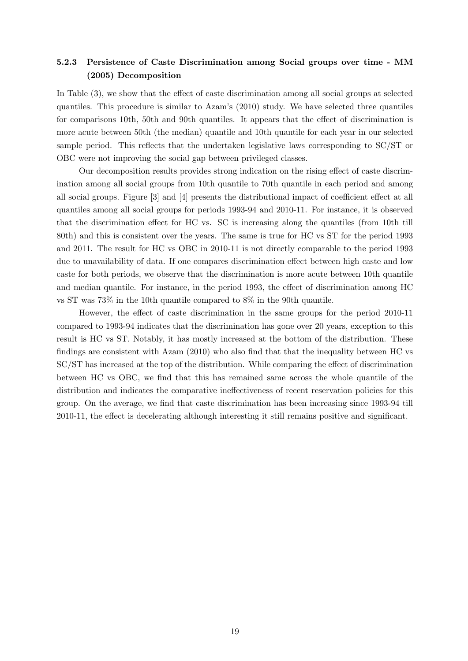# 5.2.3 Persistence of Caste Discrimination among Social groups over time - MM (2005) Decomposition

In Table (3), we show that the effect of caste discrimination among all social groups at selected quantiles. This procedure is similar to Azam's (2010) study. We have selected three quantiles for comparisons 10th, 50th and 90th quantiles. It appears that the effect of discrimination is more acute between 50th (the median) quantile and 10th quantile for each year in our selected sample period. This reflects that the undertaken legislative laws corresponding to SC/ST or OBC were not improving the social gap between privileged classes.

Our decomposition results provides strong indication on the rising effect of caste discrimination among all social groups from 10th quantile to 70th quantile in each period and among all social groups. Figure [3] and [4] presents the distributional impact of coefficient effect at all quantiles among all social groups for periods 1993-94 and 2010-11. For instance, it is observed that the discrimination effect for HC vs. SC is increasing along the quantiles (from 10th till 80th) and this is consistent over the years. The same is true for HC vs ST for the period 1993 and 2011. The result for HC vs OBC in 2010-11 is not directly comparable to the period 1993 due to unavailability of data. If one compares discrimination effect between high caste and low caste for both periods, we observe that the discrimination is more acute between 10th quantile and median quantile. For instance, in the period 1993, the effect of discrimination among HC vs ST was 73% in the 10th quantile compared to 8% in the 90th quantile.

However, the effect of caste discrimination in the same groups for the period 2010-11 compared to 1993-94 indicates that the discrimination has gone over 20 years, exception to this result is HC vs ST. Notably, it has mostly increased at the bottom of the distribution. These findings are consistent with Azam (2010) who also find that that the inequality between HC vs SC/ST has increased at the top of the distribution. While comparing the effect of discrimination between HC vs OBC, we find that this has remained same across the whole quantile of the distribution and indicates the comparative ineffectiveness of recent reservation policies for this group. On the average, we find that caste discrimination has been increasing since 1993-94 till 2010-11, the effect is decelerating although interesting it still remains positive and significant.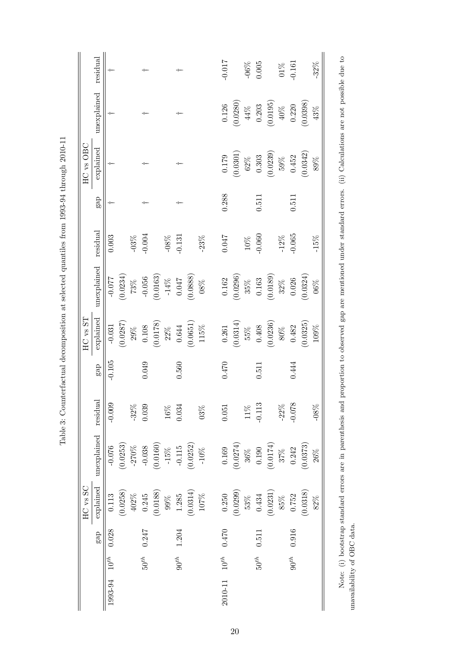|              | residual    |             |          |          |           |          |                     |           |          |         | $-0.017$    |          | $-06\%$ | 0.005            |                       | $01\%$  | $-0.161$  |          | $-32%$  |
|--------------|-------------|-------------|----------|----------|-----------|----------|---------------------|-----------|----------|---------|-------------|----------|---------|------------------|-----------------------|---------|-----------|----------|---------|
|              | unexplained |             |          |          |           |          |                     |           |          |         | 0.126       | (0.0280) | $44\%$  |                  | (0.203)               | $40\%$  | 0.220     | (0.0398) | 43%     |
| HC vs OBC    | explained   | ÷           |          |          |           |          |                     |           |          |         | $0.179\,$   | (0.0301) | $62\%$  | 0.303            | (0.0239)              | $59\%$  | 0.452     | (0.0342) | $89\%$  |
|              | gap         |             |          |          |           |          |                     |           |          |         | 0.288       |          |         | 0.511            |                       |         | 0.511     |          |         |
|              | residual    | $\!0.003\!$ |          | $-03\%$  | $-0.004$  |          | $-08\%$             | $-0.131$  |          | $-23\%$ | 170.0       |          |         | $10\%$<br>-0.060 |                       | $-12\%$ | $-0.065$  |          | $-15%$  |
|              | unexplained | $-0.077$    | (0.0234) | $73\%$   | $-0.056$  |          | $(0.0163) \\ -14\%$ | $0.047$   | (0.0888) | $08\%$  | $\,0.162\,$ | (0.0296) |         | $35\%$ 0.163     | (0.0189)              | $32\%$  | 0.026     | (0.0324) | $06\%$  |
| $HC$ vs $ST$ | explained   | $-0.031$    | (0.0287) | $29\%$   | $0.108\,$ | (0.0178) | $22\%$              | 0.644     | (0.0651) | $115\%$ | $0.261\,$   | (0.0314) | $55\%$  | 0.408            | (0.0236)              | $80\%$  | 0.482     | (0.0325) | $109\%$ |
|              | ga          | $-0.105$    |          |          | 0.049     |          |                     | 0.560     |          |         | 0.470       |          |         | 0.511            |                       |         | 0.444     |          |         |
|              | residual    | $-0.009$    |          | $-32%$   | 0.039     |          | $16\%$              | 0.034     |          | $03\%$  | 0.051       |          | $11\%$  | $-0.113$         |                       | $-22\%$ | $-0.078$  |          | $-08%$  |
|              | unexplained | $-0.076$    | (0.0253) | $-270\%$ | $-0.038$  | (0.0160) | $-15\%$             | $-0.115$  | (0.0252) | $-10\%$ | 0.169       | (0.0274) | $36\%$  | $0.190\,$        | $\left(0.0174\right)$ | $37\%$  | 0.242     | (0.0373) | 26%     |
| HC vs SC     | explained   | 0.113       | (0.0258) | $402\%$  | 0.245     | (0.0188) | $99\%$              | 1.285     | (0.0314) | $107\%$ | 0.250       | (0.0299) | $53\%$  | 0.434            | (0.0231)              | $85\%$  | 0.752     | (0.0318) | 82%     |
|              | gap         | 0.028       |          |          | 0.247     |          |                     | 1.204     |          |         | 0.470       |          |         | 0.511            |                       |         | 0.916     |          |         |
|              |             | $10^{th}$   |          |          | $50^{th}$ |          |                     | $90^{th}$ |          |         | $10^{th}$   |          |         | $50^{th}$        |                       |         | $90^{th}$ |          |         |
|              |             | 1993-94     |          |          |           |          |                     |           |          |         | 2010-11     |          |         |                  |                       |         |           |          |         |

Table 3: Counterfactual decomposition at selected quantiles from 1993-94 through 2010-11 Table 3: Counterfactual decomposition at selected quantiles from 1993-94 through 2010-11

20

Note: (i) bootstrap standard errors are in parenthesis and proportion to observed gap are mentioned under standard errors. (ii) Calculations are not possible due to unavailability of OBC data. Note: (i) bootstrap standard errors are in parenthesis and proportion to observed gap are mentioned under standard errors. (ii) Calculations are not possible due to unavailability of OBC data.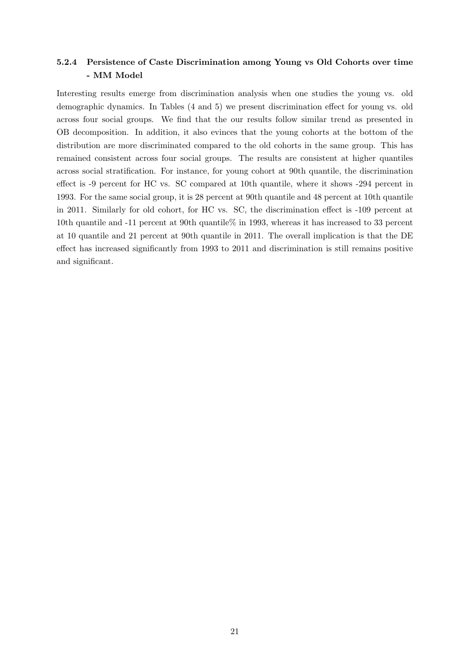# 5.2.4 Persistence of Caste Discrimination among Young vs Old Cohorts over time - MM Model

Interesting results emerge from discrimination analysis when one studies the young vs. old demographic dynamics. In Tables (4 and 5) we present discrimination effect for young vs. old across four social groups. We find that the our results follow similar trend as presented in OB decomposition. In addition, it also evinces that the young cohorts at the bottom of the distribution are more discriminated compared to the old cohorts in the same group. This has remained consistent across four social groups. The results are consistent at higher quantiles across social stratification. For instance, for young cohort at 90th quantile, the discrimination effect is -9 percent for HC vs. SC compared at 10th quantile, where it shows -294 percent in 1993. For the same social group, it is 28 percent at 90th quantile and 48 percent at 10th quantile in 2011. Similarly for old cohort, for HC vs. SC, the discrimination effect is -109 percent at 10th quantile and -11 percent at 90th quantile% in 1993, whereas it has increased to 33 percent at 10 quantile and 21 percent at 90th quantile in 2011. The overall implication is that the DE effect has increased significantly from 1993 to 2011 and discrimination is still remains positive and significant.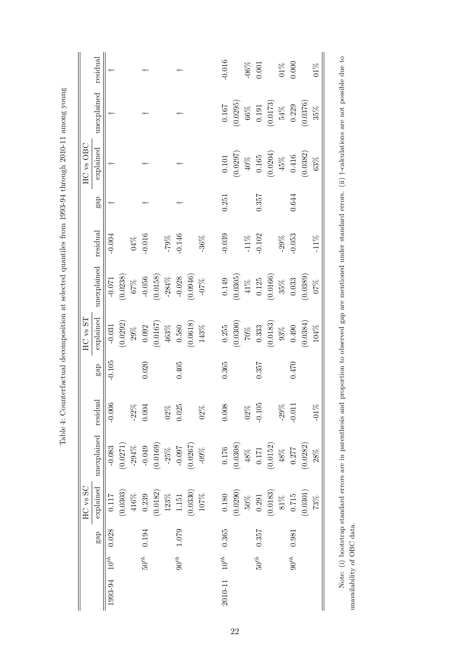|              | residual             |           |          |          |           |          |            | ÷         |          |          | $-0.016$  |          | $-06\%$                                                          | 0.001       |          | $01\%$  | 0.000     |          | $01\%$  |
|--------------|----------------------|-----------|----------|----------|-----------|----------|------------|-----------|----------|----------|-----------|----------|------------------------------------------------------------------|-------------|----------|---------|-----------|----------|---------|
|              | unexplained          |           |          |          |           |          |            |           |          |          | $0.167\,$ | (0.0295) | $\begin{array}{c} 66\% \\ 0.191 \\ (0.0173) \\ 54\% \end{array}$ |             |          |         | 0.229     | (0.0376) | $35\%$  |
| HC vs OBC    | explained            |           |          |          |           |          |            |           |          |          | $0.101\,$ | (0.0297) | $\frac{40\%}{0.165}$                                             |             | (0.0204) | $45\%$  | 0.416     | (0.0382) | $63\%$  |
|              | ga                   |           |          |          |           |          |            |           |          |          | 0.251     |          |                                                                  | 0.357       |          |         | 0.644     |          |         |
|              | residual             | $-0.004$  |          | $04\%$   | $-0.016$  |          | $\pm 79\%$ | $-0.146$  |          | $-36%$   | $-0.039$  |          | $-11\%$                                                          | $-0.102$    |          | $-29\%$ | $-0.053$  |          | $-11\%$ |
|              | unexplained          | $-0.071$  | (0.0238) | $67\%$   | $-0.056$  | (0.0158) | $-284\%$   | $-0.028$  | (0.0946) | $\%20$ - | $0.149\,$ | (0.0305) | $41\%$                                                           | $0.125$     | (0.0166) | $35\%$  | 0.033     | (0.0389) | $07\%$  |
| $HC$ vs $ST$ | explained            | $-0.031$  | (0.0292) | $29\%$   | 0.092     | (0.0167) | $463\%$    | 0.580     | (0.0618) | $143\%$  | 0.255     | (0.0300) | $70\%$                                                           | 0.333       | (0.0183) | $93\%$  | 0.490     | (0.0384) | $104\%$ |
|              | gaP                  | $-0.105$  |          |          | 0.020     |          |            | 0.405     |          |          | 0.365     |          |                                                                  | 0.357       |          |         | $0.470\,$ |          |         |
|              |                      | $-0.006$  |          | $-22\%$  | 0.004     |          | $02\%$     | 0.025     |          | $02\%$   | 0.008     |          | $02\%$                                                           | $-0.105$    |          | $-29%$  | $-0.011$  |          | $-01\%$ |
|              | unexplained residual | $-0.083$  | (0.0271) | $-294\%$ | $-0.049$  | (0.0169) | $-25\%$    | $-0.097$  | (0.0267) | $-09\%$  | 0.176     | (0.0308) | $48\%$                                                           | $0.171\,$   | (0.0152) | $48\%$  | 0.277     | (0.0282) | $28\%$  |
| HC vs SC     | explained            | 0.117     | (0.0303) | $416\%$  | 0.239     | (0.0182) | $123\%$    | 1.151     | (0.0330) | $107\%$  | 0.180     | (0.0290) | $50\%$                                                           | $\!0.291\!$ | (0.0183) | $81\%$  | 0.715     | (0.0301) | 73%     |
|              | gap                  | 0.028     |          |          | 0.194     |          |            | 1.079     |          |          | 0.365     |          |                                                                  | 0.357       |          |         | 0.981     |          |         |
|              |                      | $10^{th}$ |          |          | $50^{th}$ |          |            | $90^{th}$ |          |          | $10^{th}$ |          |                                                                  | $50^{th}$   |          |         | $90^{th}$ |          |         |
|              |                      | 1993-94   |          |          |           |          |            |           |          |          | 2010-11   |          |                                                                  |             |          |         |           |          |         |

Table 4: Counterfactual decomposition at selected quantiles from 1993-94 through 2010-11 among young Table 4: Counterfactual decomposition at selected quantiles from 1993-94 through 2010-11 among young Note: (i) bootstrap standard errors are in parenthesis and proportion to observed gap are mentioned under standard errors. (ii) *i*-calculations are not possible due to Note: (i) bootstrap standard errors are in parenthesis and proportion to observed gap are mentioned under standard errors. (ii) †-calculations are not possible due to unavailability of OBC data. unavailability of OBC data.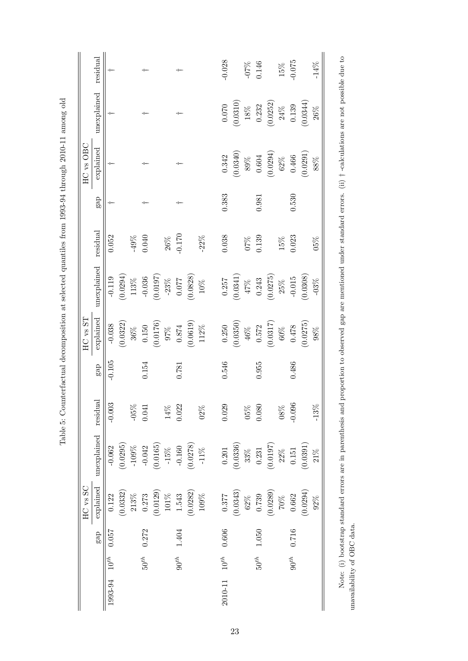|         |           |       | HC vs SC  |             |          |           | $HC$ vs $ST$ |                                                            |          |       | HC vs OBC   |             |                 |
|---------|-----------|-------|-----------|-------------|----------|-----------|--------------|------------------------------------------------------------|----------|-------|-------------|-------------|-----------------|
|         |           | gap   | explained | unexplained | residual | ga        | explained    | unexplained                                                | residual | gap   | explained   | unexplained | residual        |
| 1993-94 | $10^{th}$ | 0.037 | 0.122     | $-0.062$    | $-0.003$ | $-0.105$  | $-0.038$     | $-0.119$                                                   | 0.052    |       | $+$         |             |                 |
|         |           |       | (0.0332)  | (0.0295)    |          |           | (0.0322)     |                                                            |          |       |             |             |                 |
|         |           |       | $213\%$   | $-109\%$    | $-05\%$  |           | $36\%$       | $(0.0294)$<br>113%                                         | $-49\%$  |       |             |             |                 |
|         | $50^{th}$ | 0.272 | 0.273     | $-0.042$    | 0.041    | $0.154\,$ | $0.150\,$    |                                                            | 0.040    |       |             |             |                 |
|         |           |       | (0.0129)  | (0.0165)    |          |           | (0.0176)     | $\begin{array}{c} -0.036 \\ (0.0197) \\ -23\% \end{array}$ |          |       |             |             |                 |
|         |           |       | $101\%$   | $-15\%$     | $14\%$   |           | $97\%$       |                                                            | $26\%$   |       |             |             |                 |
|         | $90^{th}$ | 1.404 | 1.543     | $-0.160$    | 0.022    | 0.781     | $0.874\,$    | $0.077$                                                    | $-0.170$ |       |             | -1-         |                 |
|         |           |       | (0.0282)  | (0.0278)    |          |           | (0.0619)     | (0.0828)                                                   |          |       |             |             |                 |
|         |           |       | $109\%$   | $-11\%$     | $02\%$   |           | $112\%$      | $10\%$                                                     | $-22\%$  |       |             |             |                 |
| 2010-11 | $10^{th}$ | 0.606 | 0.377     | 0.201       | 0.029    | 0.546     | 0.250        | $0.257$                                                    | 0.038    | 0.383 | 0.342       | 0.070       | $-0.028$        |
|         |           |       | (0.0343)  | (0.0336)    |          |           | (0.0350)     | (0.0341)                                                   |          |       | (0.0340)    | (0.0310)    |                 |
|         |           |       | $62\%$    | $33\%$      | $05\%$   |           | $46\%$       |                                                            | $07\%$   |       | $89\%$      | $18\%$      |                 |
|         | $50^{th}$ | 1.050 | 0.739     | $\rm 0.231$ | 0.080    | 0.955     | $0.572\,$    | $\frac{47\%}{10.243}$                                      | 0.139    | 0.981 | $\,0.604\,$ | 0.232       | $-07%$<br>0.146 |
|         |           |       | (0.0289)  | (0.0197)    |          |           | (0.0317)     | (0.0275)                                                   |          |       | (0.0294)    | (0.0252)    |                 |
|         |           |       | 70%       | $22\%$      | $08\%$   |           | $60\%$       | $25\%$                                                     | $15\%$   |       | $62\%$      | $24\%$      | $15\%$          |
|         | $90^{th}$ | 0.716 | 0.662     | $\,0.151$   | $-0.096$ | 0.486     | 0.478        | $-0.015$                                                   | 0.023    | 0.530 | 0.466       | 0.139       | $-0.075$        |
|         |           |       | (0.0294)  | (0.0391)    |          |           | (0.0275)     | (0.0308)                                                   |          |       | (0.0291)    | (0.0344)    |                 |
|         |           |       | 92%       | 21%         | $-13%$   |           | $98\%$       | $-03%$                                                     | 05%      |       | $88\%$      | $26\%$      | $-14%$          |

Note: (i) bootstrap standard errors are in parenthesis and proportion to observed gap are mentioned under standard errors. (ii) † -calculations are not possible due to

Note: (i) bootstrap standard errors are in parenthesis and proportion to observed gap are mentioned under standard errors. (ii)  $\dagger$ -calculations are not possible due to

unavailability of OBC data.

unavailability of OBC data.

Table 5: Counterfactual decomposition at selected quantiles from 1993-94 through 2010-11 among old Table 5: Counterfactual decomposition at selected quantiles from 1993-94 through 2010-11 among old

23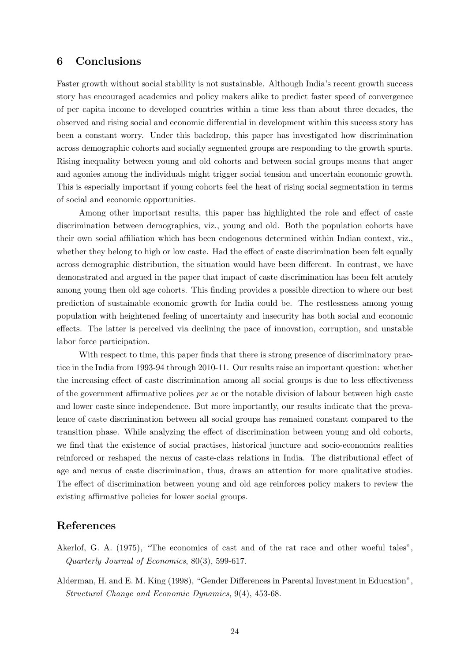## 6 Conclusions

Faster growth without social stability is not sustainable. Although India's recent growth success story has encouraged academics and policy makers alike to predict faster speed of convergence of per capita income to developed countries within a time less than about three decades, the observed and rising social and economic differential in development within this success story has been a constant worry. Under this backdrop, this paper has investigated how discrimination across demographic cohorts and socially segmented groups are responding to the growth spurts. Rising inequality between young and old cohorts and between social groups means that anger and agonies among the individuals might trigger social tension and uncertain economic growth. This is especially important if young cohorts feel the heat of rising social segmentation in terms of social and economic opportunities.

Among other important results, this paper has highlighted the role and effect of caste discrimination between demographics, viz., young and old. Both the population cohorts have their own social affiliation which has been endogenous determined within Indian context, viz., whether they belong to high or low caste. Had the effect of caste discrimination been felt equally across demographic distribution, the situation would have been different. In contrast, we have demonstrated and argued in the paper that impact of caste discrimination has been felt acutely among young then old age cohorts. This finding provides a possible direction to where our best prediction of sustainable economic growth for India could be. The restlessness among young population with heightened feeling of uncertainty and insecurity has both social and economic effects. The latter is perceived via declining the pace of innovation, corruption, and unstable labor force participation.

With respect to time, this paper finds that there is strong presence of discriminatory practice in the India from 1993-94 through 2010-11. Our results raise an important question: whether the increasing effect of caste discrimination among all social groups is due to less effectiveness of the government affirmative polices per se or the notable division of labour between high caste and lower caste since independence. But more importantly, our results indicate that the prevalence of caste discrimination between all social groups has remained constant compared to the transition phase. While analyzing the effect of discrimination between young and old cohorts, we find that the existence of social practises, historical juncture and socio-economics realities reinforced or reshaped the nexus of caste-class relations in India. The distributional effect of age and nexus of caste discrimination, thus, draws an attention for more qualitative studies. The effect of discrimination between young and old age reinforces policy makers to review the existing affirmative policies for lower social groups.

### References

- Akerlof, G. A. (1975), "The economics of cast and of the rat race and other woeful tales", Quarterly Journal of Economics, 80(3), 599-617.
- Alderman, H. and E. M. King (1998), "Gender Differences in Parental Investment in Education", Structural Change and Economic Dynamics, 9(4), 453-68.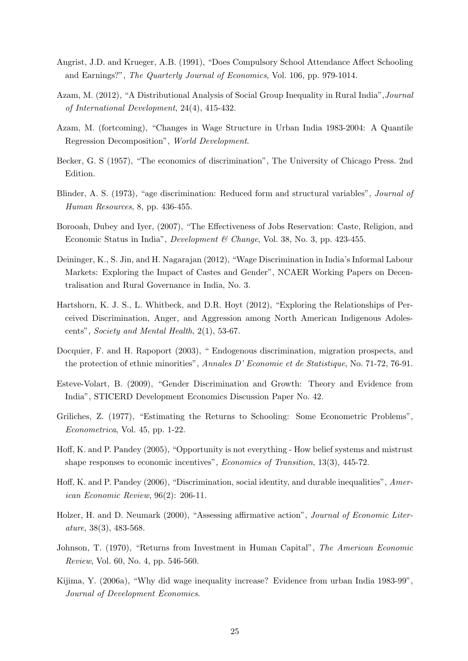- Angrist, J.D. and Krueger, A.B. (1991), "Does Compulsory School Attendance Affect Schooling and Earnings?", The Quarterly Journal of Economics, Vol. 106, pp. 979-1014.
- Azam, M. (2012), "A Distributional Analysis of Social Group Inequality in Rural India",Journal of International Development, 24(4), 415-432.
- Azam, M. (fortcoming), "Changes in Wage Structure in Urban India 1983-2004: A Quantile Regression Decomposition", World Development.
- Becker, G. S (1957), "The economics of discrimination", The University of Chicago Press. 2nd Edition.
- Blinder, A. S. (1973), "age discrimination: Reduced form and structural variables", Journal of Human Resources, 8, pp. 436-455.
- Borooah, Dubey and Iyer, (2007), "The Effectiveness of Jobs Reservation: Caste, Religion, and Economic Status in India", Development & Change, Vol. 38, No. 3, pp. 423-455.
- Deininger, K., S. Jin, and H. Nagarajan (2012), "Wage Discrimination in India's Informal Labour Markets: Exploring the Impact of Castes and Gender", NCAER Working Papers on Decentralisation and Rural Governance in India, No. 3.
- Hartshorn, K. J. S., L. Whitbeck, and D.R. Hoyt (2012), "Exploring the Relationships of Perceived Discrimination, Anger, and Aggression among North American Indigenous Adolescents", Society and Mental Health, 2(1), 53-67.
- Docquier, F. and H. Rapoport (2003), " Endogenous discrimination, migration prospects, and the protection of ethnic minorities", Annales D' Economie et de Statistique, No. 71-72, 76-91.
- Esteve-Volart, B. (2009), "Gender Discrimination and Growth: Theory and Evidence from India", STICERD Development Economics Discussion Paper No. 42.
- Griliches, Z. (1977), "Estimating the Returns to Schooling: Some Econometric Problems", Econometrica, Vol. 45, pp. 1-22.
- Hoff, K. and P. Pandey (2005), "Opportunity is not everything How belief systems and mistrust shape responses to economic incentives", *Economics of Transition*, 13(3), 445-72.
- Hoff, K. and P. Pandey (2006), "Discrimination, social identity, and durable inequalities", American Economic Review, 96(2): 206-11.
- Holzer, H. and D. Neumark (2000), "Assessing affirmative action", Journal of Economic Literature, 38(3), 483-568.
- Johnson, T. (1970), "Returns from Investment in Human Capital", The American Economic Review, Vol. 60, No. 4, pp. 546-560.
- Kijima, Y. (2006a), "Why did wage inequality increase? Evidence from urban India 1983-99", Journal of Development Economics.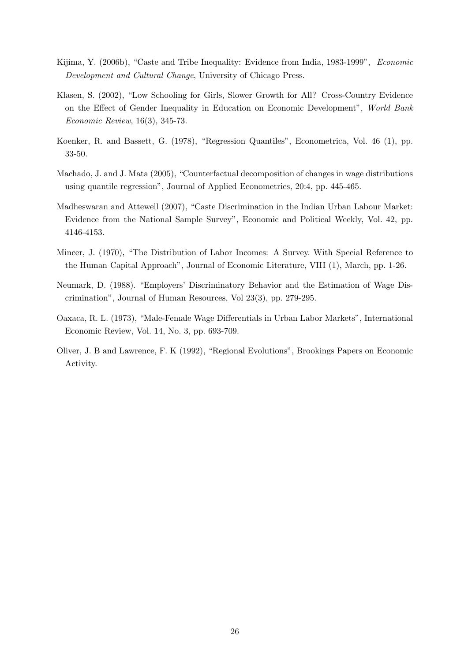- Kijima, Y. (2006b), "Caste and Tribe Inequality: Evidence from India, 1983-1999", Economic Development and Cultural Change, University of Chicago Press.
- Klasen, S. (2002), "Low Schooling for Girls, Slower Growth for All? Cross-Country Evidence on the Effect of Gender Inequality in Education on Economic Development", World Bank Economic Review, 16(3), 345-73.
- Koenker, R. and Bassett, G. (1978), "Regression Quantiles", Econometrica, Vol. 46 (1), pp. 33-50.
- Machado, J. and J. Mata (2005), "Counterfactual decomposition of changes in wage distributions using quantile regression", Journal of Applied Econometrics, 20:4, pp. 445-465.
- Madheswaran and Attewell (2007), "Caste Discrimination in the Indian Urban Labour Market: Evidence from the National Sample Survey", Economic and Political Weekly, Vol. 42, pp. 4146-4153.
- Mincer, J. (1970), "The Distribution of Labor Incomes: A Survey. With Special Reference to the Human Capital Approach", Journal of Economic Literature, VIII (1), March, pp. 1-26.
- Neumark, D. (1988). "Employers' Discriminatory Behavior and the Estimation of Wage Discrimination", Journal of Human Resources, Vol 23(3), pp. 279-295.
- Oaxaca, R. L. (1973), "Male-Female Wage Differentials in Urban Labor Markets", International Economic Review, Vol. 14, No. 3, pp. 693-709.
- Oliver, J. B and Lawrence, F. K (1992), "Regional Evolutions", Brookings Papers on Economic Activity.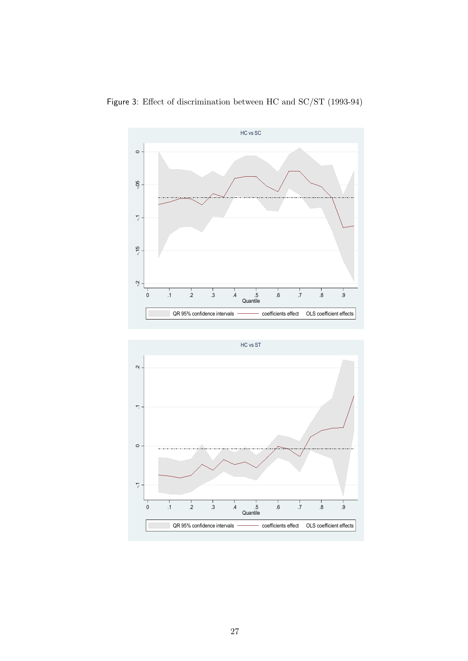

Figure 3: Effect of discrimination between HC and SC/ST (1993-94)